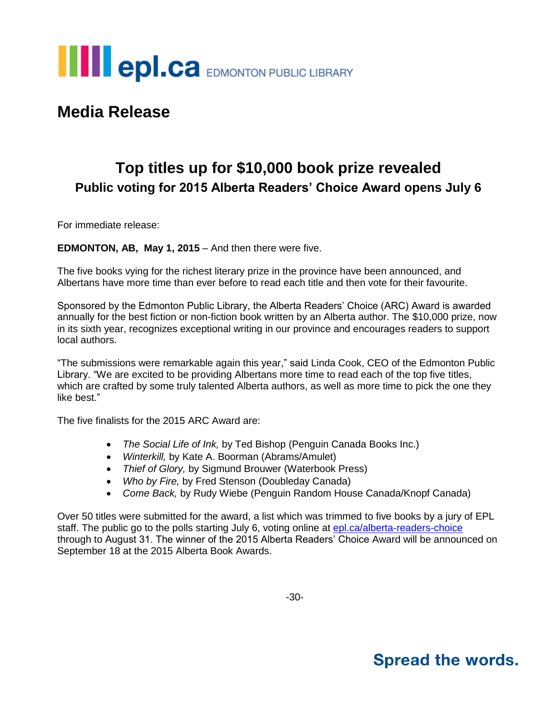

## **Media Release**

## **Top titles up for \$10,000 book prize revealed Public voting for 2015 Alberta Readers' Choice Award opens July 6**

For immediate release:

### **EDMONTON, AB, May 1, 2015** – And then there were five.

The five books vying for the richest literary prize in the province have been announced, and Albertans have more time than ever before to read each title and then vote for their favourite.

Sponsored by the Edmonton Public Library, the Alberta Readers' Choice (ARC) Award is awarded annually for the best fiction or non-fiction book written by an Alberta author. The \$10,000 prize, now in its sixth year, recognizes exceptional writing in our province and encourages readers to support local authors.

"The submissions were remarkable again this year," said Linda Cook, CEO of the Edmonton Public Library. "We are excited to be providing Albertans more time to read each of the top five titles, which are crafted by some truly talented Alberta authors, as well as more time to pick the one they like best."

The five finalists for the 2015 ARC Award are:

- *The Social Life of Ink,* by Ted Bishop (Penguin Canada Books Inc.)
- *Winterkill,* by Kate A. Boorman (Abrams/Amulet)
- *Thief of Glory,* by Sigmund Brouwer (Waterbook Press)
- *Who by Fire,* by Fred Stenson (Doubleday Canada)
- *Come Back,* by Rudy Wiebe (Penguin Random House Canada/Knopf Canada)

Over 50 titles were submitted for the award, a list which was trimmed to five books by a jury of EPL staff. The public go to the polls starting July 6, voting online at [epl.ca/alberta-readers-choice](http://www.epl.ca/alberta-readers-choice) through to August 31. The winner of the 2015 Alberta Readers' Choice Award will be announced on September 18 at the 2015 Alberta Book Awards.

## **Spread the words.**